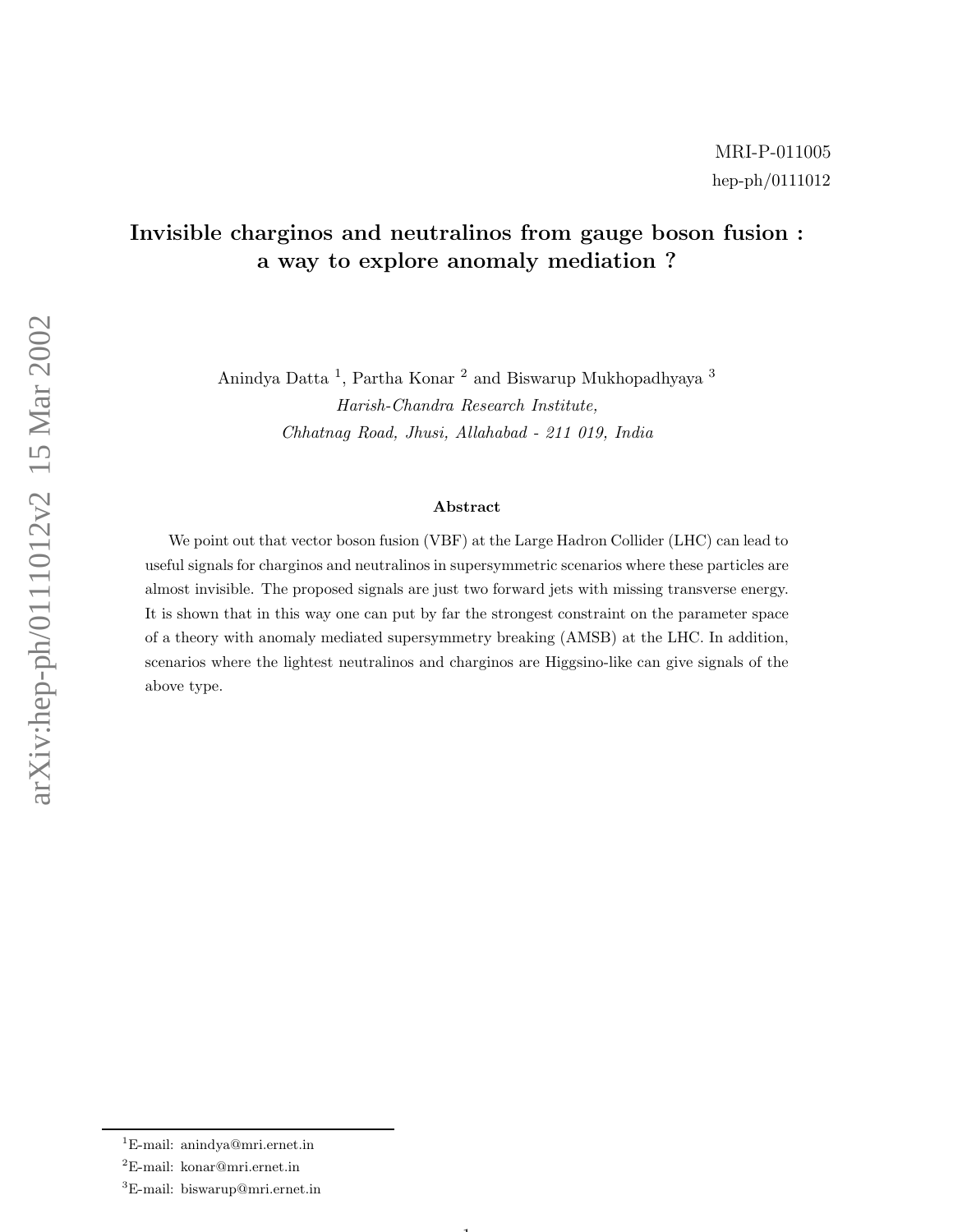## Invisible charginos and neutralinos from gauge boson fusion : a way to explore anomaly mediation ?

Anindya Datta <sup>1</sup>, Partha Konar <sup>2</sup> and Biswarup Mukhopadhyaya <sup>3</sup> Harish-Chandra Research Institute, Chhatnag Road, Jhusi, Allahabad - 211 019, India

## Abstract

We point out that vector boson fusion (VBF) at the Large Hadron Collider (LHC) can lead to useful signals for charginos and neutralinos in supersymmetric scenarios where these particles are almost invisible. The proposed signals are just two forward jets with missing transverse energy. It is shown that in this way one can put by far the strongest constraint on the parameter space of a theory with anomaly mediated supersymmetry breaking (AMSB) at the LHC. In addition, scenarios where the lightest neutralinos and charginos are Higgsino-like can give signals of the above type.

 $\mathbf{1}$ 

<sup>1</sup>E-mail: anindya@mri.ernet.in

<sup>2</sup>E-mail: konar@mri.ernet.in

<sup>3</sup>E-mail: biswarup@mri.ernet.in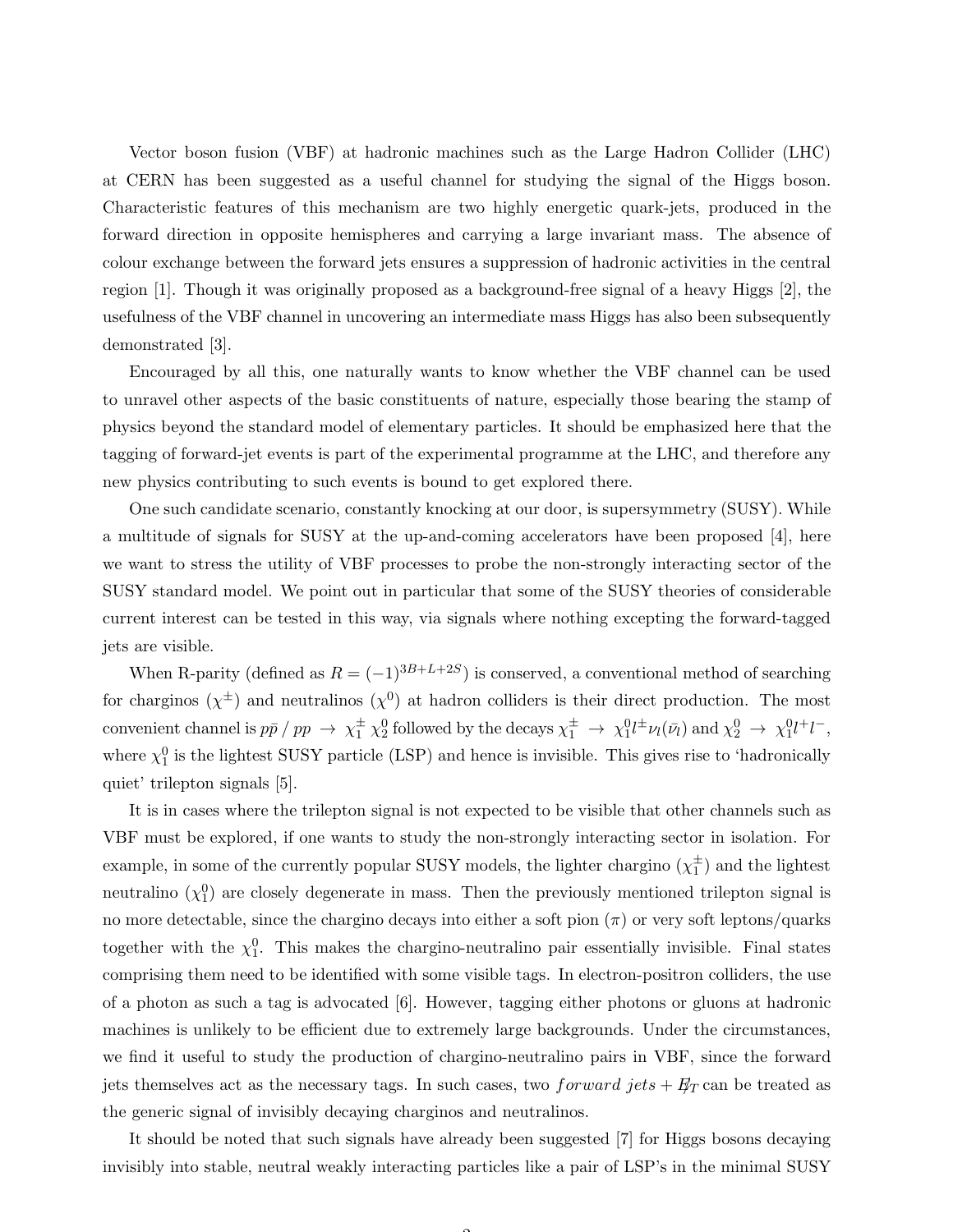Vector boson fusion (VBF) at hadronic machines such as the Large Hadron Collider (LHC) at CERN has been suggested as a useful channel for studying the signal of the Higgs boson. Characteristic features of this mechanism are two highly energetic quark-jets, produced in the forward direction in opposite hemispheres and carrying a large invariant mass. The absence of colour exchange between the forward jets ensures a suppression of hadronic activities in the central region [1]. Though it was originally proposed as a background-free signal of a heavy Higgs [2], the usefulness of the VBF channel in uncovering an intermediate mass Higgs has also been subsequently demonstrated [3].

Encouraged by all this, one naturally wants to know whether the VBF channel can be used to unravel other aspects of the basic constituents of nature, especially those bearing the stamp of physics beyond the standard model of elementary particles. It should be emphasized here that the tagging of forward-jet events is part of the experimental programme at the LHC, and therefore any new physics contributing to such events is bound to get explored there.

One such candidate scenario, constantly knocking at our door, is supersymmetry (SUSY). While a multitude of signals for SUSY at the up-and-coming accelerators have been proposed [4], here we want to stress the utility of VBF processes to probe the non-strongly interacting sector of the SUSY standard model. We point out in particular that some of the SUSY theories of considerable current interest can be tested in this way, via signals where nothing excepting the forward-tagged jets are visible.

When R-parity (defined as  $R = (-1)^{3B+L+2S}$ ) is conserved, a conventional method of searching for charginos  $(\chi^{\pm})$  and neutralinos  $(\chi^0)$  at hadron colliders is their direct production. The most convenient channel is  $p\bar{p} / pp \rightarrow \chi_1^{\pm} \chi_2^0$  followed by the decays  $\chi_1^{\pm} \rightarrow \chi_1^0 l^{\pm} \nu_l(\bar{\nu_l})$  and  $\chi_2^0 \rightarrow \chi_1^0 l^+ l^-$ , where  $\chi_1^0$  is the lightest SUSY particle (LSP) and hence is invisible. This gives rise to 'hadronically quiet' trilepton signals [5].

It is in cases where the trilepton signal is not expected to be visible that other channels such as VBF must be explored, if one wants to study the non-strongly interacting sector in isolation. For example, in some of the currently popular SUSY models, the lighter chargino  $(\chi_1^{\pm}$  $_1^{\pm}$ ) and the lightest neutralino  $(\chi_1^0)$  are closely degenerate in mass. Then the previously mentioned trilepton signal is no more detectable, since the chargino decays into either a soft pion  $(\pi)$  or very soft leptons/quarks together with the  $\chi_1^0$ . This makes the chargino-neutralino pair essentially invisible. Final states comprising them need to be identified with some visible tags. In electron-positron colliders, the use of a photon as such a tag is advocated [6]. However, tagging either photons or gluons at hadronic machines is unlikely to be efficient due to extremely large backgrounds. Under the circumstances, we find it useful to study the production of chargino-neutralino pairs in VBF, since the forward jets themselves act as the necessary tags. In such cases, two *forward jets* +  $E_T$  can be treated as the generic signal of invisibly decaying charginos and neutralinos.

It should be noted that such signals have already been suggested [7] for Higgs bosons decaying invisibly into stable, neutral weakly interacting particles like a pair of LSP's in the minimal SUSY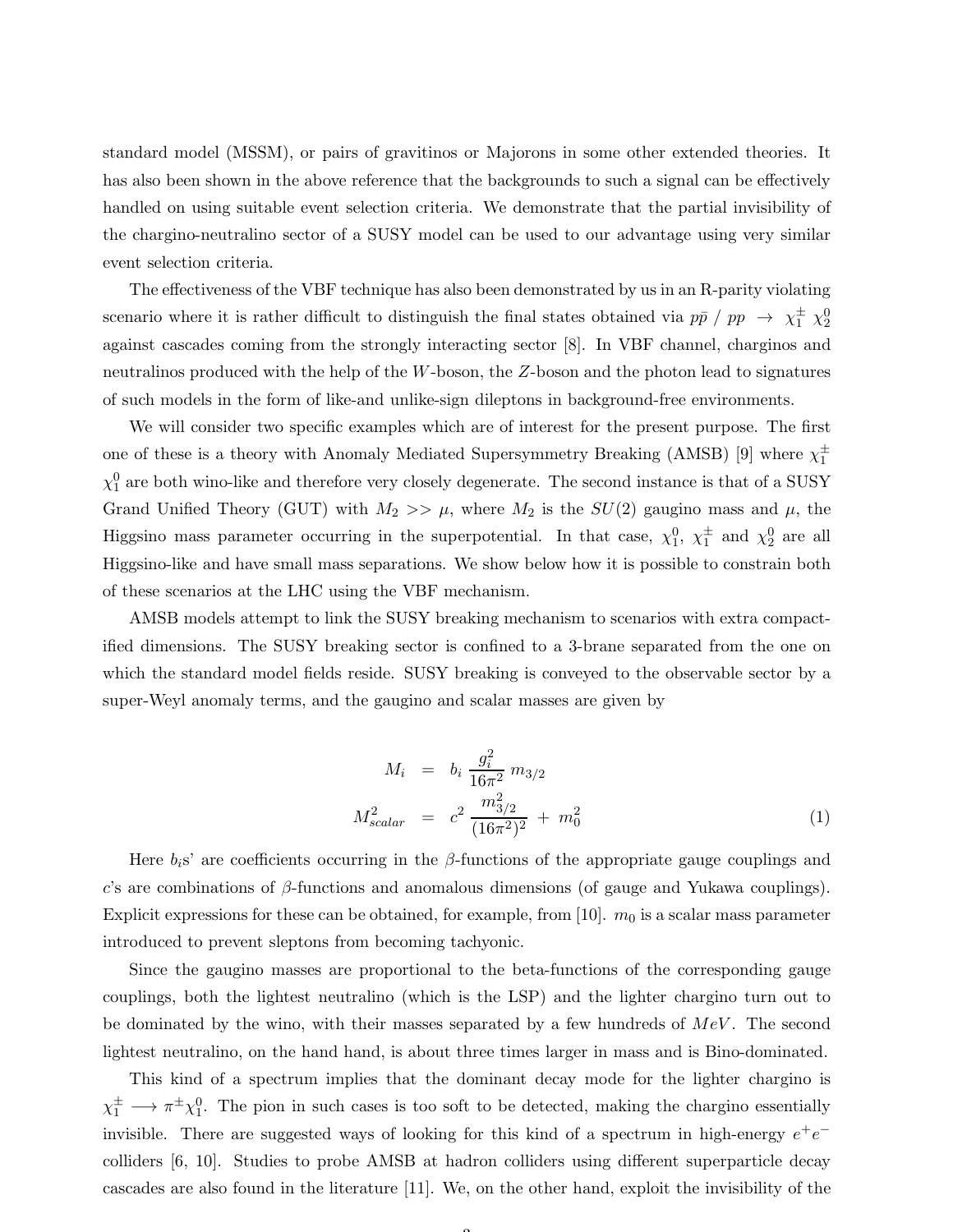standard model (MSSM), or pairs of gravitinos or Majorons in some other extended theories. It has also been shown in the above reference that the backgrounds to such a signal can be effectively handled on using suitable event selection criteria. We demonstrate that the partial invisibility of the chargino-neutralino sector of a SUSY model can be used to our advantage using very similar event selection criteria.

The effectiveness of the VBF technique has also been demonstrated by us in an R-parity violating scenario where it is rather difficult to distinguish the final states obtained via  $p\bar{p}$  /  $pp \rightarrow \chi_1^{\pm} \chi_2^0$ against cascades coming from the strongly interacting sector [8]. In VBF channel, charginos and neutralinos produced with the help of the W-boson, the Z-boson and the photon lead to signatures of such models in the form of like-and unlike-sign dileptons in background-free environments.

We will consider two specific examples which are of interest for the present purpose. The first one of these is a theory with Anomaly Mediated Supersymmetry Breaking (AMSB) [9] where  $\chi_1^{\pm}$ 1  $\chi_1^0$  are both wino-like and therefore very closely degenerate. The second instance is that of a SUSY Grand Unified Theory (GUT) with  $M_2 >> \mu$ , where  $M_2$  is the  $SU(2)$  gaugino mass and  $\mu$ , the Higgsino mass parameter occurring in the superpotential. In that case,  $\chi_1^0$ ,  $\chi_1^{\pm}$  $\frac{1}{1}$  and  $\chi_2^0$  are all Higgsino-like and have small mass separations. We show below how it is possible to constrain both of these scenarios at the LHC using the VBF mechanism.

AMSB models attempt to link the SUSY breaking mechanism to scenarios with extra compactified dimensions. The SUSY breaking sector is confined to a 3-brane separated from the one on which the standard model fields reside. SUSY breaking is conveyed to the observable sector by a super-Weyl anomaly terms, and the gaugino and scalar masses are given by

$$
M_i = b_i \frac{g_i^2}{16\pi^2} m_{3/2}
$$
  

$$
M_{scalar}^2 = c^2 \frac{m_{3/2}^2}{(16\pi^2)^2} + m_0^2
$$
 (1)

Here  $b_i$ s' are coefficients occurring in the β-functions of the appropriate gauge couplings and c's are combinations of  $\beta$ -functions and anomalous dimensions (of gauge and Yukawa couplings). Explicit expressions for these can be obtained, for example, from [10].  $m_0$  is a scalar mass parameter introduced to prevent sleptons from becoming tachyonic.

Since the gaugino masses are proportional to the beta-functions of the corresponding gauge couplings, both the lightest neutralino (which is the LSP) and the lighter chargino turn out to be dominated by the wino, with their masses separated by a few hundreds of  $MeV$ . The second lightest neutralino, on the hand hand, is about three times larger in mass and is Bino-dominated.

This kind of a spectrum implies that the dominant decay mode for the lighter chargino is  $\chi_1^{\pm} \to \pi^{\pm} \chi_1^0$ . The pion in such cases is too soft to be detected, making the chargino essentially invisible. There are suggested ways of looking for this kind of a spectrum in high-energy  $e^+e^$ colliders [6, 10]. Studies to probe AMSB at hadron colliders using different superparticle decay cascades are also found in the literature [11]. We, on the other hand, exploit the invisibility of the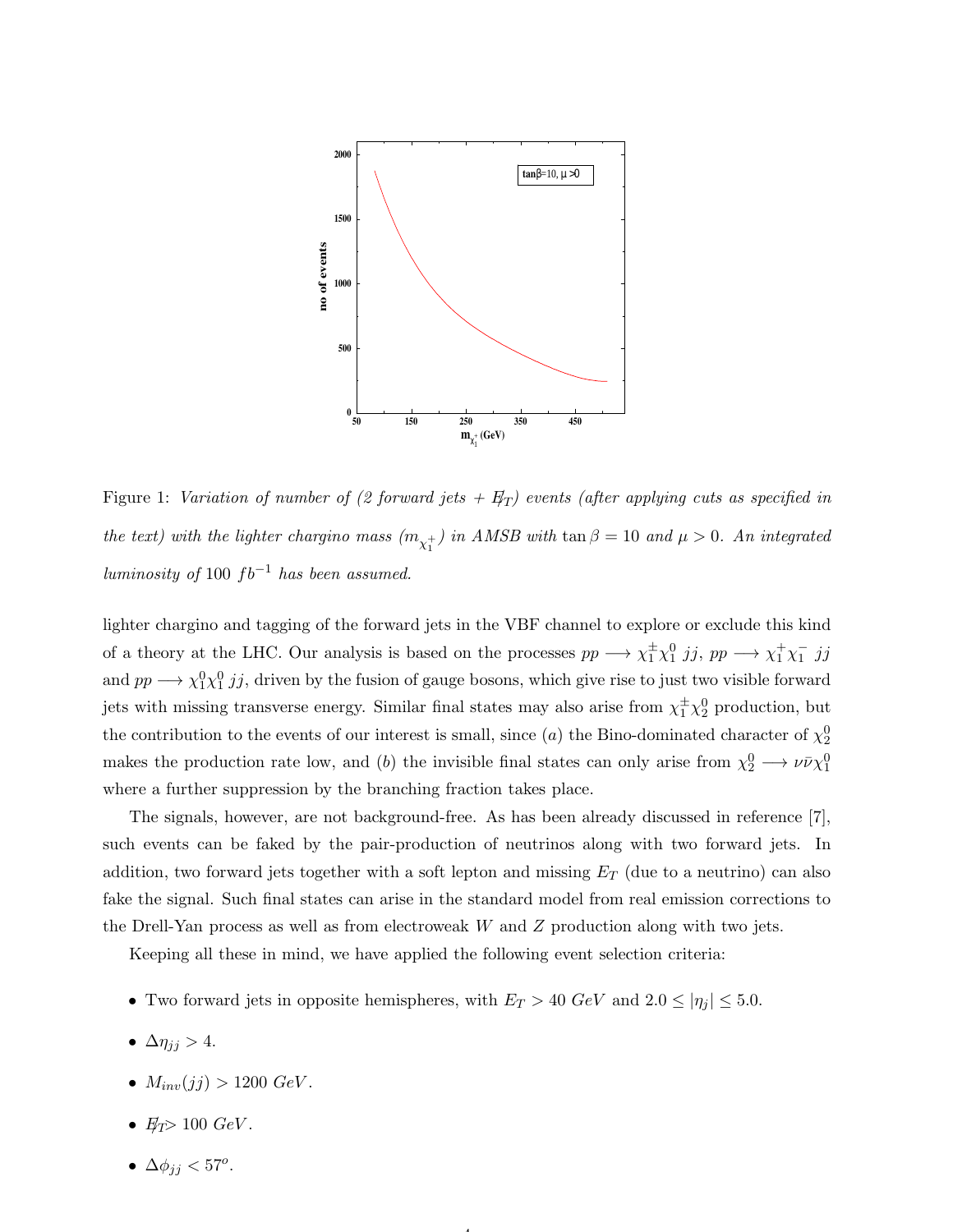

Figure 1: Variation of number of (2 forward jets  $+ F_T$ ) events (after applying cuts as specified in the text) with the lighter chargino mass  $(m_{\chi_1^+})$  in AMSB with  $\tan \beta = 10$  and  $\mu > 0$ . An integrated luminosity of 100  $fb^{-1}$  has been assumed.

lighter chargino and tagging of the forward jets in the VBF channel to explore or exclude this kind of a theory at the LHC. Our analysis is based on the processes  $pp \rightarrow \chi_1^{\pm} \chi_1^0$  jj,  $pp \rightarrow \chi_1^{\pm} \chi_1^{-}$  $\frac{1}{1}$  jj and  $pp \longrightarrow \chi_1^0 \chi_1^0 j j$ , driven by the fusion of gauge bosons, which give rise to just two visible forward jets with missing transverse energy. Similar final states may also arise from  $\chi_1^{\pm}\chi_2^0$  production, but the contribution to the events of our interest is small, since (*a*) the Bino-dominated character of  $\chi_2^0$ makes the production rate low, and (b) the invisible final states can only arise from  $\chi_2^0 \longrightarrow \nu \bar{\nu} \chi_1^0$ where a further suppression by the branching fraction takes place.

The signals, however, are not background-free. As has been already discussed in reference [7], such events can be faked by the pair-production of neutrinos along with two forward jets. In addition, two forward jets together with a soft lepton and missing  $E_T$  (due to a neutrino) can also fake the signal. Such final states can arise in the standard model from real emission corrections to the Drell-Yan process as well as from electroweak  $W$  and  $Z$  production along with two jets.

Keeping all these in mind, we have applied the following event selection criteria:

• Two forward jets in opposite hemispheres, with  $E_T > 40 \text{ GeV}$  and  $2.0 \leq |\eta_j| \leq 5.0$ .

4

- $\Delta \eta_{jj} > 4$ .
- $M_{inv}(jj) > 1200 \text{ GeV}.$
- $E_T > 100 \text{ GeV}$ .
- $\Delta \phi_{jj} < 57^{\circ}$ .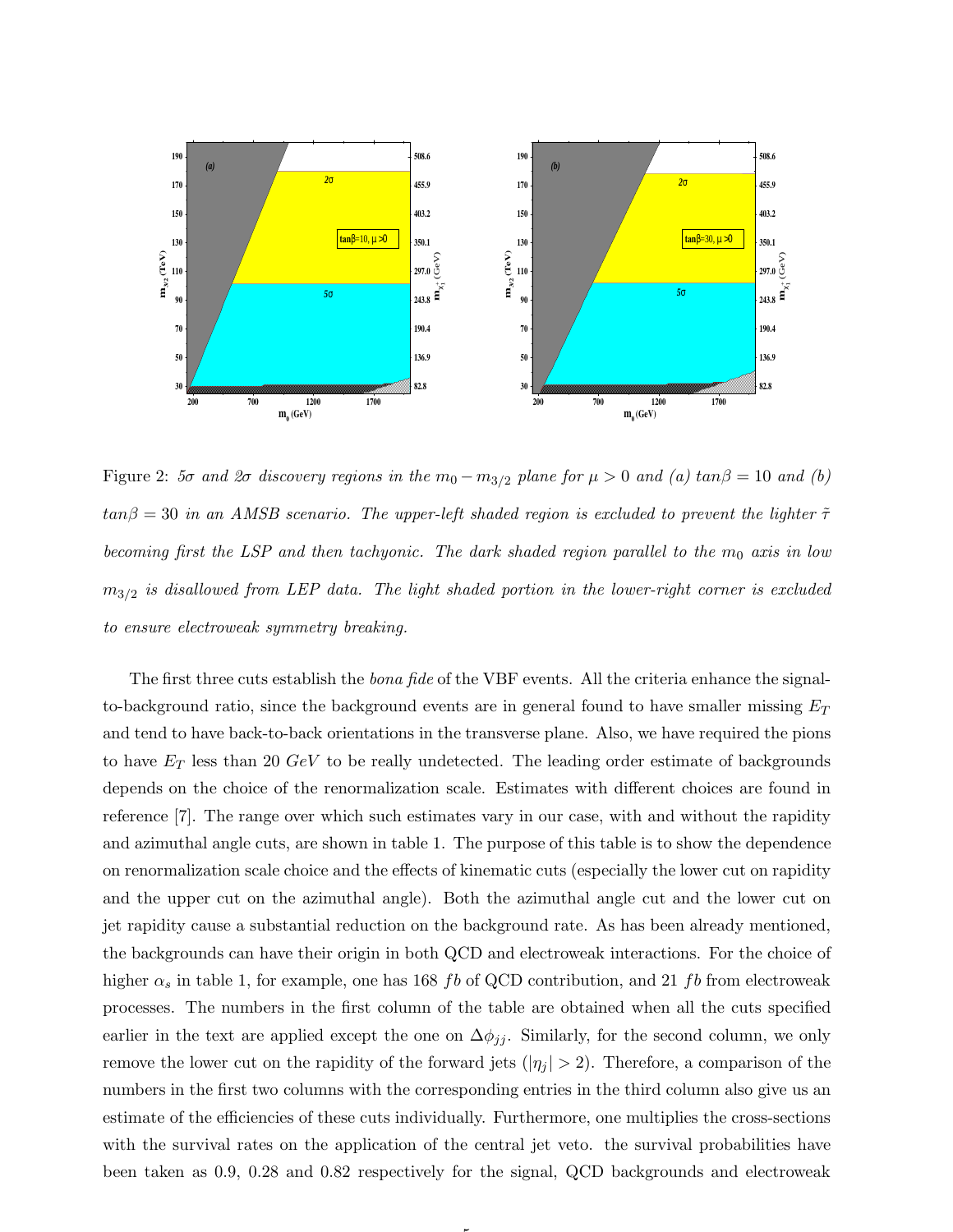

Figure 2: 5σ and 2σ discovery regions in the  $m_0 - m_{3/2}$  plane for  $\mu > 0$  and (a)  $tan \beta = 10$  and (b)  $tan\beta = 30$  in an AMSB scenario. The upper-left shaded region is excluded to prevent the lighter  $\tilde{\tau}$ becoming first the LSP and then tachyonic. The dark shaded region parallel to the  $m_0$  axis in low  $m_{3/2}$  is disallowed from LEP data. The light shaded portion in the lower-right corner is excluded to ensure electroweak symmetry breaking.

The first three cuts establish the *bona fide* of the VBF events. All the criteria enhance the signalto-background ratio, since the background events are in general found to have smaller missing  $E_T$ and tend to have back-to-back orientations in the transverse plane. Also, we have required the pions to have  $E_T$  less than 20  $GeV$  to be really undetected. The leading order estimate of backgrounds depends on the choice of the renormalization scale. Estimates with different choices are found in reference [7]. The range over which such estimates vary in our case, with and without the rapidity and azimuthal angle cuts, are shown in table 1. The purpose of this table is to show the dependence on renormalization scale choice and the effects of kinematic cuts (especially the lower cut on rapidity and the upper cut on the azimuthal angle). Both the azimuthal angle cut and the lower cut on jet rapidity cause a substantial reduction on the background rate. As has been already mentioned, the backgrounds can have their origin in both QCD and electroweak interactions. For the choice of higher  $\alpha_s$  in table 1, for example, one has 168 fb of QCD contribution, and 21 fb from electroweak processes. The numbers in the first column of the table are obtained when all the cuts specified earlier in the text are applied except the one on  $\Delta \phi_{jj}$ . Similarly, for the second column, we only remove the lower cut on the rapidity of the forward jets  $(|\eta_j| > 2)$ . Therefore, a comparison of the numbers in the first two columns with the corresponding entries in the third column also give us an estimate of the efficiencies of these cuts individually. Furthermore, one multiplies the cross-sections with the survival rates on the application of the central jet veto. the survival probabilities have been taken as 0.9, 0.28 and 0.82 respectively for the signal, QCD backgrounds and electroweak

5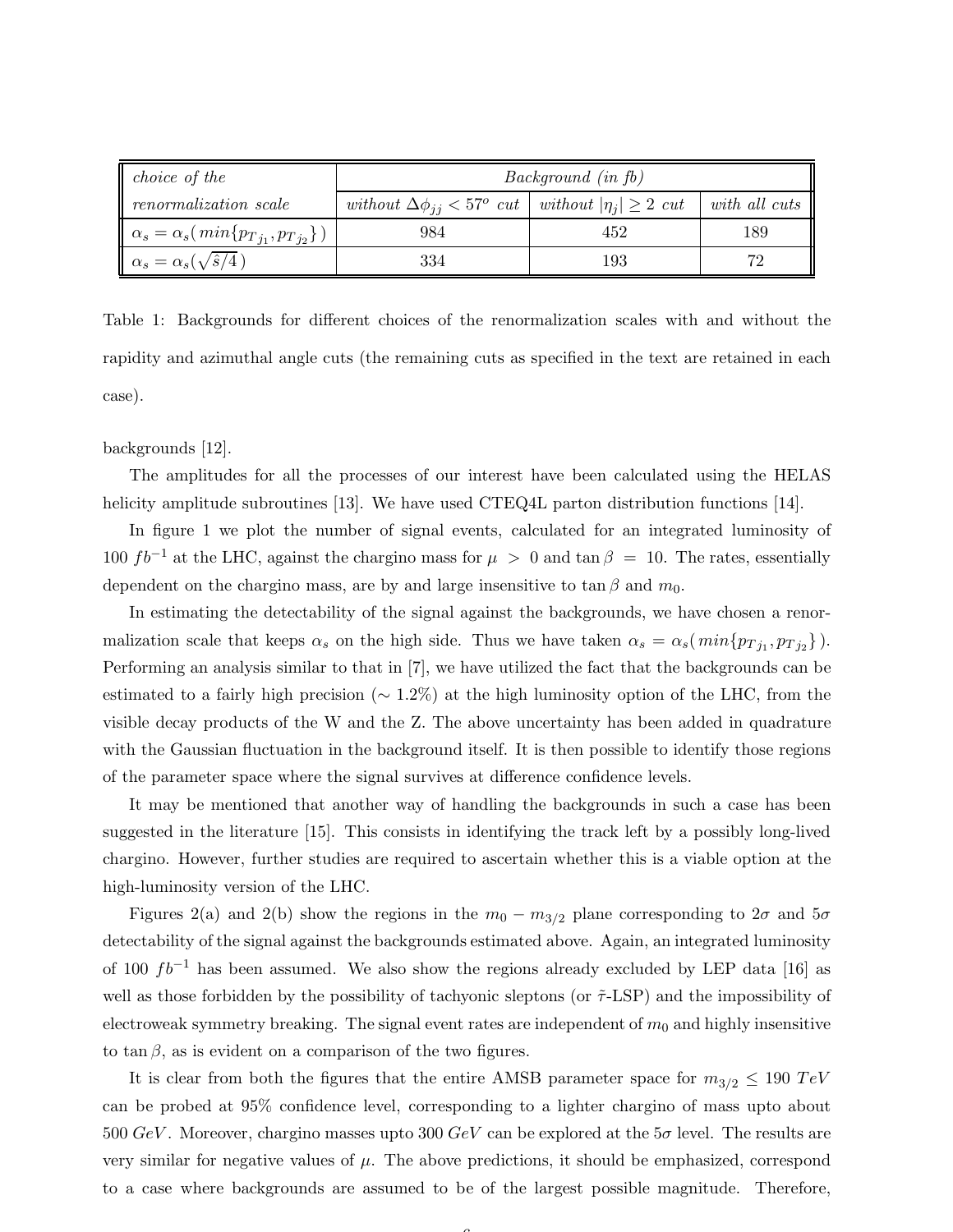| <i>choice</i> of the                                         | Background (in fb)                                                        |     |               |
|--------------------------------------------------------------|---------------------------------------------------------------------------|-----|---------------|
| renormalization scale                                        | without $\Delta \phi_{ij} < 57^{\circ}$ cut without $ \eta_i  \geq 2$ cut |     | with all cuts |
| $\parallel \alpha_s = \alpha_s(\ min\{p_{Tj_1}, p_{Tj_2}\})$ | 984                                                                       | 452 | 189           |
| $\alpha_s = \alpha_s(\sqrt{\hat{s}/4})$                      | 334                                                                       | 193 | 79            |

Table 1: Backgrounds for different choices of the renormalization scales with and without the rapidity and azimuthal angle cuts (the remaining cuts as specified in the text are retained in each case).

backgrounds [12].

The amplitudes for all the processes of our interest have been calculated using the HELAS helicity amplitude subroutines [13]. We have used CTEQ4L parton distribution functions [14].

In figure 1 we plot the number of signal events, calculated for an integrated luminosity of 100  $fb^{-1}$  at the LHC, against the chargino mass for  $\mu > 0$  and  $\tan \beta = 10$ . The rates, essentially dependent on the chargino mass, are by and large insensitive to tan  $\beta$  and  $m_0$ .

In estimating the detectability of the signal against the backgrounds, we have chosen a renormalization scale that keeps  $\alpha_s$  on the high side. Thus we have taken  $\alpha_s = \alpha_s(\min\{p_{Tj_1}, p_{Tj_2}\})$ . Performing an analysis similar to that in [7], we have utilized the fact that the backgrounds can be estimated to a fairly high precision ( $\sim 1.2\%$ ) at the high luminosity option of the LHC, from the visible decay products of the W and the Z. The above uncertainty has been added in quadrature with the Gaussian fluctuation in the background itself. It is then possible to identify those regions of the parameter space where the signal survives at difference confidence levels.

It may be mentioned that another way of handling the backgrounds in such a case has been suggested in the literature [15]. This consists in identifying the track left by a possibly long-lived chargino. However, further studies are required to ascertain whether this is a viable option at the high-luminosity version of the LHC.

Figures 2(a) and 2(b) show the regions in the  $m_0 - m_{3/2}$  plane corresponding to  $2\sigma$  and  $5\sigma$ detectability of the signal against the backgrounds estimated above. Again, an integrated luminosity of 100  $fb^{-1}$  has been assumed. We also show the regions already excluded by LEP data [16] as well as those forbidden by the possibility of tachyonic sleptons (or  $\tilde{\tau}$ -LSP) and the impossibility of electroweak symmetry breaking. The signal event rates are independent of  $m_0$  and highly insensitive to tan  $\beta$ , as is evident on a comparison of the two figures.

It is clear from both the figures that the entire AMSB parameter space for  $m_{3/2} \leq 190 \; TeV$ can be probed at 95% confidence level, corresponding to a lighter chargino of mass upto about 500  $GeV$ . Moreover, chargino masses upto 300  $GeV$  can be explored at the 5 $\sigma$  level. The results are very similar for negative values of  $\mu$ . The above predictions, it should be emphasized, correspond to a case where backgrounds are assumed to be of the largest possible magnitude. Therefore,

 $\sqrt{2}$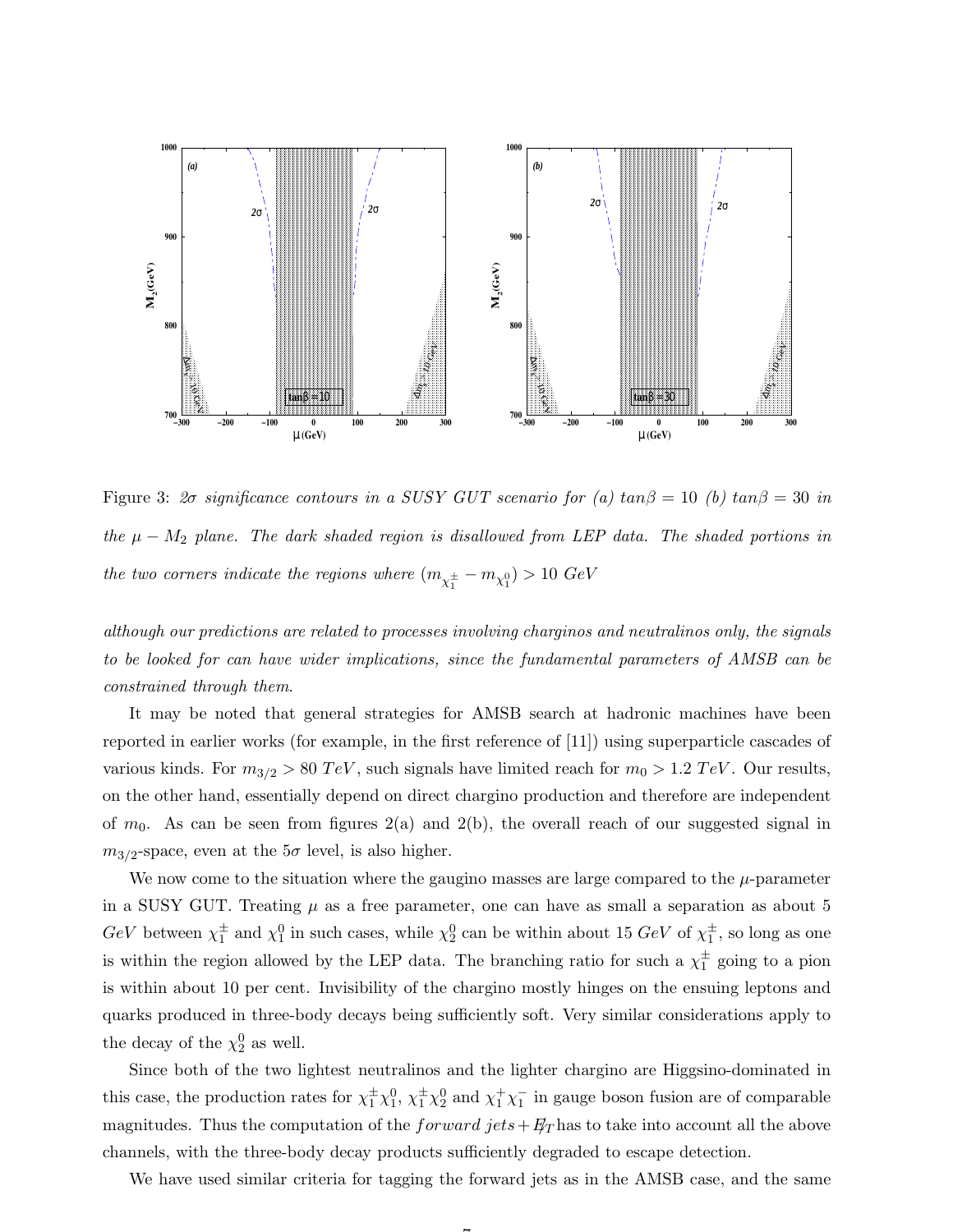

Figure 3:  $2\sigma$  significance contours in a SUSY GUT scenario for (a)  $tan\beta = 10$  (b)  $tan\beta = 30$  in the  $\mu - M_2$  plane. The dark shaded region is disallowed from LEP data. The shaded portions in the two corners indicate the regions where  $(m_{\chi_1^\pm}-m_{\chi_1^0})>10\,\, GeV$ 

although our predictions are related to processes involving charginos and neutralinos only, the signals to be looked for can have wider implications, since the fundamental parameters of AMSB can be constrained through them.

It may be noted that general strategies for AMSB search at hadronic machines have been reported in earlier works (for example, in the first reference of [11]) using superparticle cascades of various kinds. For  $m_{3/2} > 80 \text{ TeV}$ , such signals have limited reach for  $m_0 > 1.2 \text{ TeV}$ . Our results, on the other hand, essentially depend on direct chargino production and therefore are independent of  $m_0$ . As can be seen from figures  $2(a)$  and  $2(b)$ , the overall reach of our suggested signal in  $m_{3/2}$ -space, even at the  $5\sigma$  level, is also higher.

We now come to the situation where the gaugino masses are large compared to the  $\mu$ -parameter in a SUSY GUT. Treating  $\mu$  as a free parameter, one can have as small a separation as about 5  $GeV$  between  $\chi_1^{\pm}$  $\frac{1}{1}$  and  $\chi_1^0$  in such cases, while  $\chi_2^0$  can be within about 15  $GeV$  of  $\chi_1^{\pm}$  $_1^{\pm}$ , so long as one is within the region allowed by the LEP data. The branching ratio for such a  $\chi_1^{\pm}$  $_1^{\pm}$  going to a pion is within about 10 per cent. Invisibility of the chargino mostly hinges on the ensuing leptons and quarks produced in three-body decays being sufficiently soft. Very similar considerations apply to the decay of the  $\chi_2^0$  as well.

Since both of the two lightest neutralinos and the lighter chargino are Higgsino-dominated in this case, the production rates for  $\chi_1^{\pm} \chi_1^0$ ,  $\chi_1^{\pm} \chi_2^0$  and  $\chi_1^{\pm} \chi_1^{-}$  $\frac{1}{1}$  in gauge boson fusion are of comparable magnitudes. Thus the computation of the  $forward\ jets + E/T$  has to take into account all the above channels, with the three-body decay products sufficiently degraded to escape detection.

We have used similar criteria for tagging the forward jets as in the AMSB case, and the same

 $\rightarrow$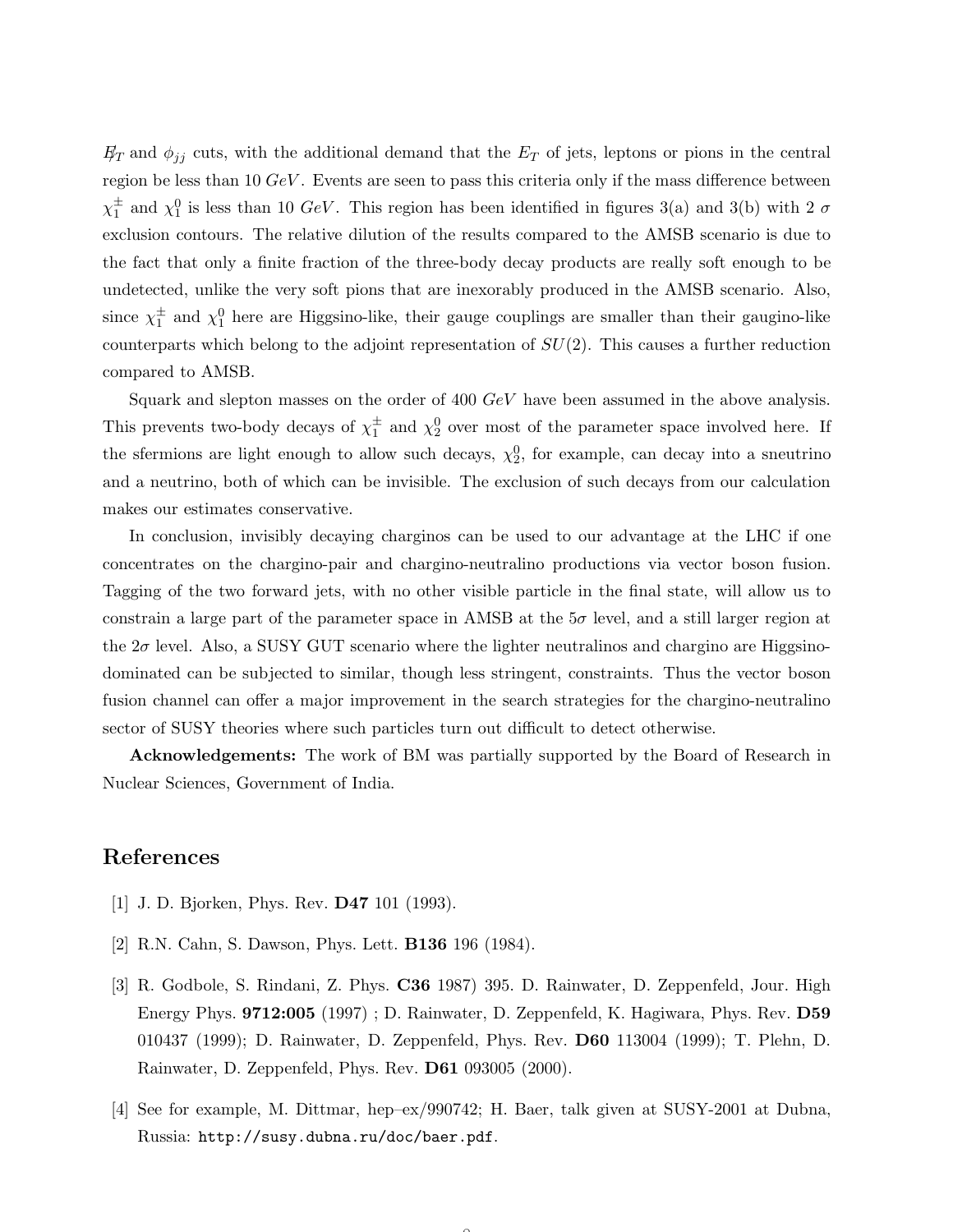$E_T$  and  $\phi_{ij}$  cuts, with the additional demand that the  $E_T$  of jets, leptons or pions in the central region be less than 10  $GeV$ . Events are seen to pass this criteria only if the mass difference between  $\chi_1^{\pm}$  $\frac{1}{1}$  and  $\chi_1^0$  is less than 10 GeV. This region has been identified in figures 3(a) and 3(b) with 2  $\sigma$ exclusion contours. The relative dilution of the results compared to the AMSB scenario is due to the fact that only a finite fraction of the three-body decay products are really soft enough to be undetected, unlike the very soft pions that are inexorably produced in the AMSB scenario. Also, since  $\chi_1^{\pm}$  $_1^{\pm}$  and  $\chi_1^0$  here are Higgsino-like, their gauge couplings are smaller than their gaugino-like counterparts which belong to the adjoint representation of  $SU(2)$ . This causes a further reduction compared to AMSB.

Squark and slepton masses on the order of 400 GeV have been assumed in the above analysis. This prevents two-body decays of  $\chi_1^{\pm}$  $\frac{1}{1}$  and  $\chi_2^0$  over most of the parameter space involved here. If the sfermions are light enough to allow such decays,  $\chi_2^0$ , for example, can decay into a sneutrino and a neutrino, both of which can be invisible. The exclusion of such decays from our calculation makes our estimates conservative.

In conclusion, invisibly decaying charginos can be used to our advantage at the LHC if one concentrates on the chargino-pair and chargino-neutralino productions via vector boson fusion. Tagging of the two forward jets, with no other visible particle in the final state, will allow us to constrain a large part of the parameter space in AMSB at the  $5\sigma$  level, and a still larger region at the  $2\sigma$  level. Also, a SUSY GUT scenario where the lighter neutralinos and chargino are Higgsinodominated can be subjected to similar, though less stringent, constraints. Thus the vector boson fusion channel can offer a major improvement in the search strategies for the chargino-neutralino sector of SUSY theories where such particles turn out difficult to detect otherwise.

Acknowledgements: The work of BM was partially supported by the Board of Research in Nuclear Sciences, Government of India.

## References

- [1] J. D. Bjorken, Phys. Rev. D47 101 (1993).
- [2] R.N. Cahn, S. Dawson, Phys. Lett. B136 196 (1984).
- [3] R. Godbole, S. Rindani, Z. Phys. C36 1987) 395. D. Rainwater, D. Zeppenfeld, Jour. High Energy Phys. 9712:005 (1997) ; D. Rainwater, D. Zeppenfeld, K. Hagiwara, Phys. Rev. D59 010437 (1999); D. Rainwater, D. Zeppenfeld, Phys. Rev. D60 113004 (1999); T. Plehn, D. Rainwater, D. Zeppenfeld, Phys. Rev. D61 093005 (2000).
- [4] See for example, M. Dittmar, hep–ex/990742; H. Baer, talk given at SUSY-2001 at Dubna, Russia: http://susy.dubna.ru/doc/baer.pdf.